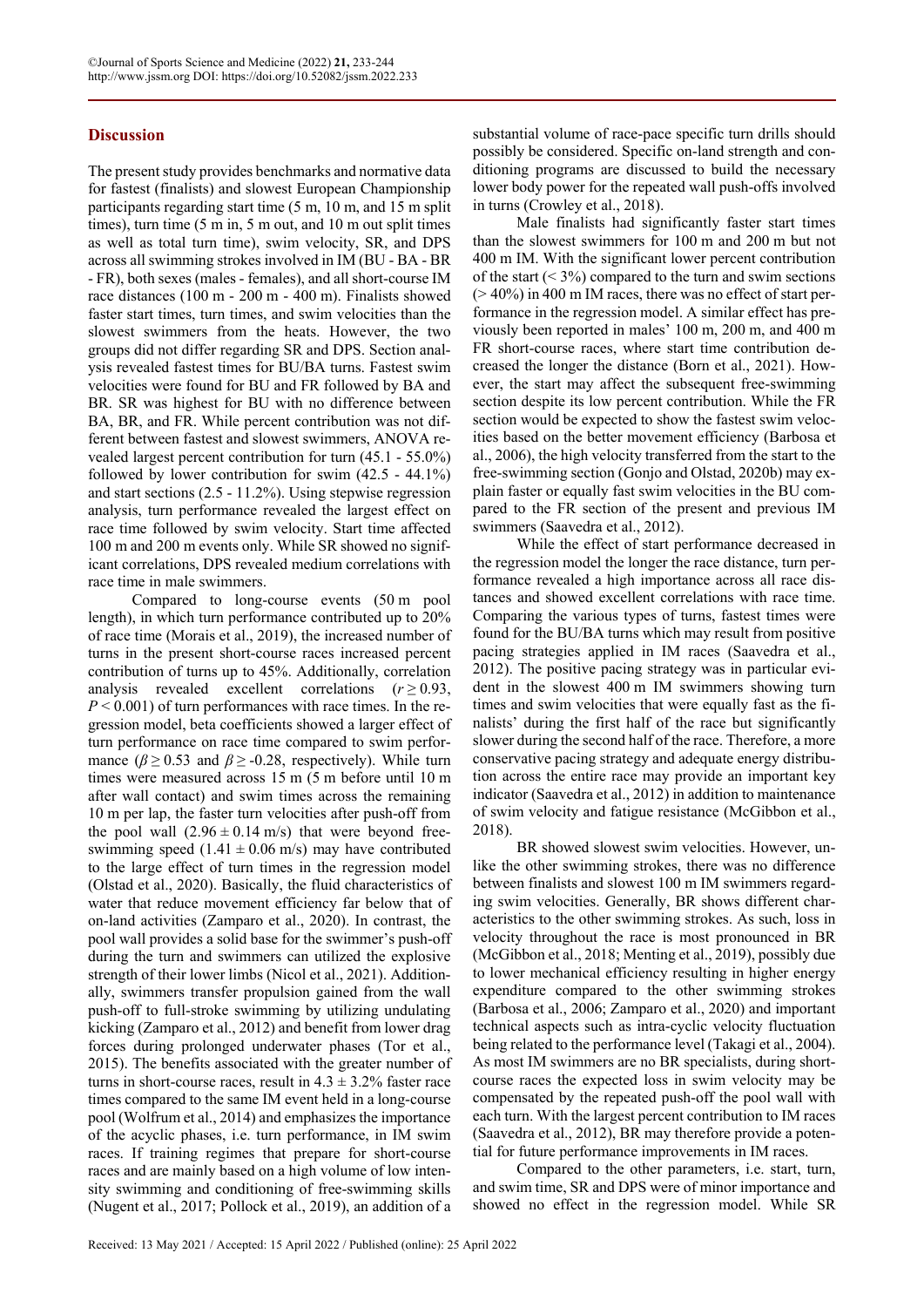## **Discussion**

The present study provides benchmarks and normative data for fastest (finalists) and slowest European Championship participants regarding start time (5 m, 10 m, and 15 m split times), turn time (5 m in, 5 m out, and 10 m out split times as well as total turn time), swim velocity, SR, and DPS across all swimming strokes involved in IM (BU - BA - BR - FR), both sexes (males - females), and all short-course IM race distances (100 m - 200 m - 400 m). Finalists showed faster start times, turn times, and swim velocities than the slowest swimmers from the heats. However, the two groups did not differ regarding SR and DPS. Section analysis revealed fastest times for BU/BA turns. Fastest swim velocities were found for BU and FR followed by BA and BR. SR was highest for BU with no difference between BA, BR, and FR. While percent contribution was not different between fastest and slowest swimmers, ANOVA revealed largest percent contribution for turn (45.1 - 55.0%) followed by lower contribution for swim (42.5 - 44.1%) and start sections (2.5 - 11.2%). Using stepwise regression analysis, turn performance revealed the largest effect on race time followed by swim velocity. Start time affected 100 m and 200 m events only. While SR showed no significant correlations, DPS revealed medium correlations with race time in male swimmers.

Compared to long-course events (50 m pool length), in which turn performance contributed up to 20% of race time (Morais et al., 2019), the increased number of turns in the present short-course races increased percent contribution of turns up to 45%. Additionally, correlation analysis revealed excellent correlations  $(r \ge 0.93,$  $P < 0.001$ ) of turn performances with race times. In the regression model, beta coefficients showed a larger effect of turn performance on race time compared to swim performance ( $\beta \ge 0.53$  and  $\beta \ge -0.28$ , respectively). While turn times were measured across 15 m (5 m before until 10 m after wall contact) and swim times across the remaining 10 m per lap, the faster turn velocities after push-off from the pool wall  $(2.96 \pm 0.14 \text{ m/s})$  that were beyond freeswimming speed  $(1.41 \pm 0.06 \text{ m/s})$  may have contributed to the large effect of turn times in the regression model (Olstad et al., 2020). Basically, the fluid characteristics of water that reduce movement efficiency far below that of on-land activities (Zamparo et al., 2020). In contrast, the pool wall provides a solid base for the swimmer's push-off during the turn and swimmers can utilized the explosive strength of their lower limbs (Nicol et al., 2021). Additionally, swimmers transfer propulsion gained from the wall push-off to full-stroke swimming by utilizing undulating kicking (Zamparo et al., 2012) and benefit from lower drag forces during prolonged underwater phases (Tor et al., 2015). The benefits associated with the greater number of turns in short-course races, result in  $4.3 \pm 3.2\%$  faster race times compared to the same IM event held in a long-course pool (Wolfrum et al., 2014) and emphasizes the importance of the acyclic phases, i.e. turn performance, in IM swim races. If training regimes that prepare for short-course races and are mainly based on a high volume of low intensity swimming and conditioning of free-swimming skills (Nugent et al., 2017; Pollock et al., 2019), an addition of a

substantial volume of race-pace specific turn drills should possibly be considered. Specific on-land strength and conditioning programs are discussed to build the necessary lower body power for the repeated wall push-offs involved in turns (Crowley et al., 2018).

Male finalists had significantly faster start times than the slowest swimmers for 100 m and 200 m but not 400 m IM. With the significant lower percent contribution of the start  $(< 3\%)$  compared to the turn and swim sections  $(> 40\%)$  in 400 m IM races, there was no effect of start performance in the regression model. A similar effect has previously been reported in males' 100 m, 200 m, and 400 m FR short-course races, where start time contribution decreased the longer the distance (Born et al., 2021). However, the start may affect the subsequent free-swimming section despite its low percent contribution. While the FR section would be expected to show the fastest swim velocities based on the better movement efficiency (Barbosa et al., 2006), the high velocity transferred from the start to the free-swimming section (Gonjo and Olstad, 2020b) may explain faster or equally fast swim velocities in the BU compared to the FR section of the present and previous IM swimmers (Saavedra et al., 2012).

While the effect of start performance decreased in the regression model the longer the race distance, turn performance revealed a high importance across all race distances and showed excellent correlations with race time. Comparing the various types of turns, fastest times were found for the BU/BA turns which may result from positive pacing strategies applied in IM races (Saavedra et al., 2012). The positive pacing strategy was in particular evident in the slowest 400 m IM swimmers showing turn times and swim velocities that were equally fast as the finalists' during the first half of the race but significantly slower during the second half of the race. Therefore, a more conservative pacing strategy and adequate energy distribution across the entire race may provide an important key indicator (Saavedra et al., 2012) in addition to maintenance of swim velocity and fatigue resistance (McGibbon et al., 2018).

BR showed slowest swim velocities. However, unlike the other swimming strokes, there was no difference between finalists and slowest 100 m IM swimmers regarding swim velocities. Generally, BR shows different characteristics to the other swimming strokes. As such, loss in velocity throughout the race is most pronounced in BR (McGibbon et al., 2018; Menting et al., 2019), possibly due to lower mechanical efficiency resulting in higher energy expenditure compared to the other swimming strokes (Barbosa et al., 2006; Zamparo et al., 2020) and important technical aspects such as intra-cyclic velocity fluctuation being related to the performance level (Takagi et al., 2004). As most IM swimmers are no BR specialists, during shortcourse races the expected loss in swim velocity may be compensated by the repeated push-off the pool wall with each turn. With the largest percent contribution to IM races (Saavedra et al., 2012), BR may therefore provide a potential for future performance improvements in IM races.

Compared to the other parameters, i.e. start, turn, and swim time, SR and DPS were of minor importance and showed no effect in the regression model. While SR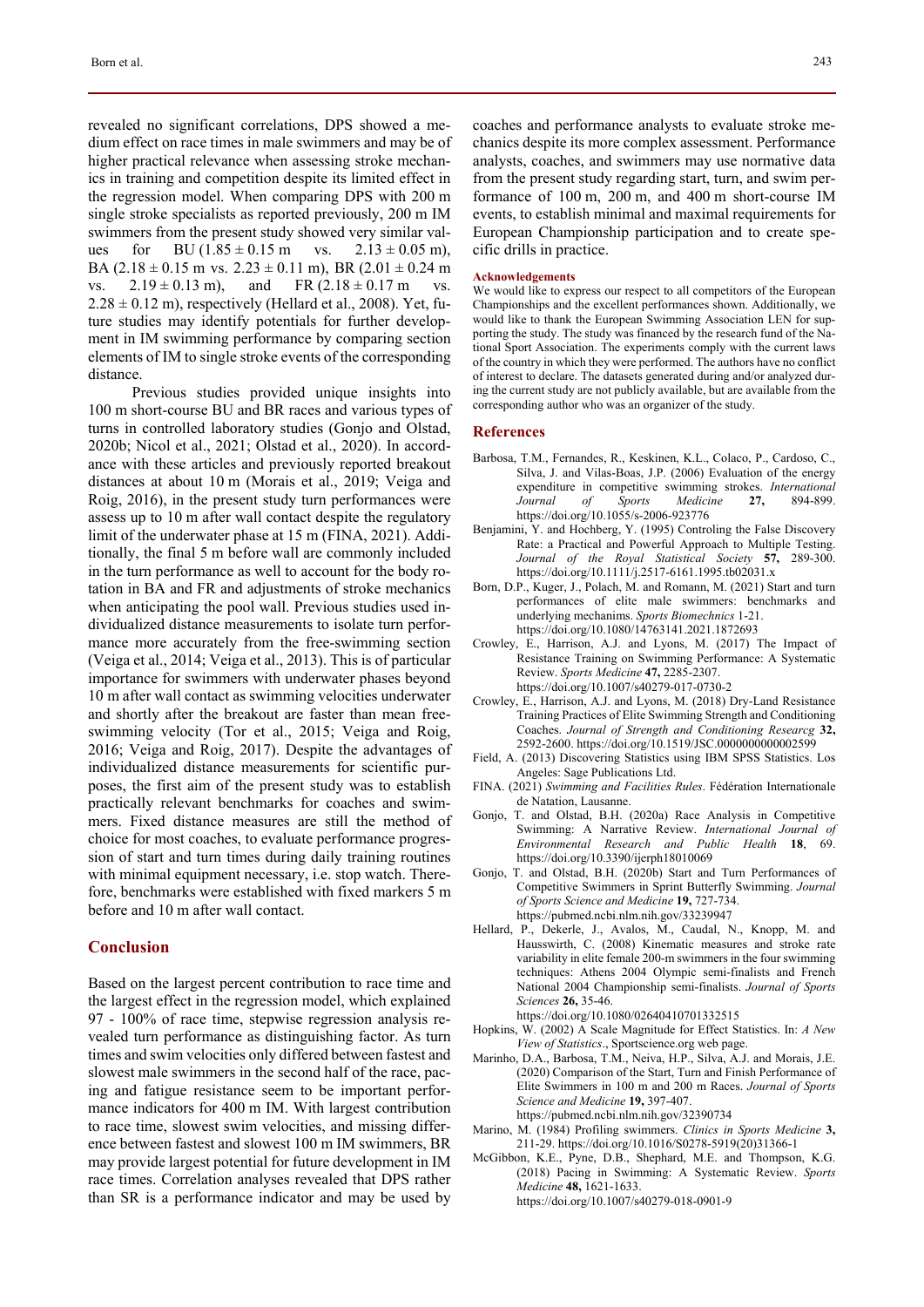revealed no significant correlations, DPS showed a medium effect on race times in male swimmers and may be of higher practical relevance when assessing stroke mechanics in training and competition despite its limited effect in the regression model. When comparing DPS with 200 m single stroke specialists as reported previously, 200 m IM swimmers from the present study showed very similar values for BU  $(1.85 \pm 0.15 \text{ m}$  vs.  $2.13 \pm 0.05 \text{ m}$ ), BA  $(2.18 \pm 0.15 \text{ m} \text{ vs. } 2.23 \pm 0.11 \text{ m})$ , BR  $(2.01 \pm 0.24 \text{ m})$ vs.  $2.19 \pm 0.13$  m), and FR  $(2.18 \pm 0.17$  m vs.  $2.28 \pm 0.12$  m), respectively (Hellard et al., 2008). Yet, future studies may identify potentials for further development in IM swimming performance by comparing section elements of IM to single stroke events of the corresponding distance.

Previous studies provided unique insights into 100 m short-course BU and BR races and various types of turns in controlled laboratory studies (Gonjo and Olstad, 2020b; Nicol et al., 2021; Olstad et al., 2020). In accordance with these articles and previously reported breakout distances at about 10 m (Morais et al., 2019; Veiga and Roig, 2016), in the present study turn performances were assess up to 10 m after wall contact despite the regulatory limit of the underwater phase at 15 m (FINA, 2021). Additionally, the final 5 m before wall are commonly included in the turn performance as well to account for the body rotation in BA and FR and adjustments of stroke mechanics when anticipating the pool wall. Previous studies used individualized distance measurements to isolate turn performance more accurately from the free-swimming section (Veiga et al., 2014; Veiga et al., 2013). This is of particular importance for swimmers with underwater phases beyond 10 m after wall contact as swimming velocities underwater and shortly after the breakout are faster than mean freeswimming velocity (Tor et al., 2015; Veiga and Roig, 2016; Veiga and Roig, 2017). Despite the advantages of individualized distance measurements for scientific purposes, the first aim of the present study was to establish practically relevant benchmarks for coaches and swimmers. Fixed distance measures are still the method of choice for most coaches, to evaluate performance progression of start and turn times during daily training routines with minimal equipment necessary, i.e. stop watch. Therefore, benchmarks were established with fixed markers 5 m before and 10 m after wall contact.

### **Conclusion**

Based on the largest percent contribution to race time and the largest effect in the regression model, which explained 97 - 100% of race time, stepwise regression analysis revealed turn performance as distinguishing factor. As turn times and swim velocities only differed between fastest and slowest male swimmers in the second half of the race, pacing and fatigue resistance seem to be important performance indicators for 400 m IM. With largest contribution to race time, slowest swim velocities, and missing difference between fastest and slowest 100 m IM swimmers, BR may provide largest potential for future development in IM race times. Correlation analyses revealed that DPS rather than SR is a performance indicator and may be used by coaches and performance analysts to evaluate stroke mechanics despite its more complex assessment. Performance analysts, coaches, and swimmers may use normative data from the present study regarding start, turn, and swim performance of 100 m, 200 m, and 400 m short-course IM events, to establish minimal and maximal requirements for European Championship participation and to create specific drills in practice.

#### **Acknowledgements**

We would like to express our respect to all competitors of the European Championships and the excellent performances shown. Additionally, we would like to thank the European Swimming Association LEN for supporting the study. The study was financed by the research fund of the National Sport Association. The experiments comply with the current laws of the country in which they were performed. The authors have no conflict of interest to declare. The datasets generated during and/or analyzed during the current study are not publicly available, but are available from the corresponding author who was an organizer of the study.

#### **References**

- Barbosa, T.M., Fernandes, R., Keskinen, K.L., Colaco, P., Cardoso, C., Silva, J. and Vilas-Boas, J.P. (2006) Evaluation of the energy expenditure in competitive swimming strokes. *International*   $Medicine$ https://doi.org/10.1055/s-2006-923776
- Benjamini, Y. and Hochberg, Y. (1995) Controling the False Discovery Rate: a Practical and Powerful Approach to Multiple Testing. *Journal of the Royal Statistical Society* **57,** 289-300. https://doi.org/10.1111/j.2517-6161.1995.tb02031.x
- Born, D.P., Kuger, J., Polach, M. and Romann, M. (2021) Start and turn performances of elite male swimmers: benchmarks and underlying mechanims. *Sports Biomechnics* 1-21. https://doi.org/10.1080/14763141.2021.1872693
- Crowley, E., Harrison, A.J. and Lyons, M. (2017) The Impact of Resistance Training on Swimming Performance: A Systematic Review. *Sports Medicine* **47,** 2285-2307. https://doi.org/10.1007/s40279-017-0730-2
- Crowley, E., Harrison, A.J. and Lyons, M. (2018) Dry-Land Resistance Training Practices of Elite Swimming Strength and Conditioning Coaches. *Journal of Strength and Conditioning Researcg* **32,** 2592-2600. https://doi.org/10.1519/JSC.0000000000002599
- Field, A. (2013) Discovering Statistics using IBM SPSS Statistics. Los Angeles: Sage Publications Ltd.
- FINA. (2021) *Swimming and Facilities Rules*. Fédération Internationale de Natation, Lausanne.
- Gonjo, T. and Olstad, B.H. (2020a) Race Analysis in Competitive Swimming: A Narrative Review. *International Journal of Environmental Research and Public Health* **18**, 69. https://doi.org/10.3390/ijerph18010069
- Gonjo, T. and Olstad, B.H. (2020b) Start and Turn Performances of Competitive Swimmers in Sprint Butterfly Swimming. *Journal of Sports Science and Medicine* **19,** 727-734. https://pubmed.ncbi.nlm.nih.gov/33239947
- Hellard, P., Dekerle, J., Avalos, M., Caudal, N., Knopp, M. and Hausswirth, C. (2008) Kinematic measures and stroke rate variability in elite female 200-m swimmers in the four swimming techniques: Athens 2004 Olympic semi-finalists and French National 2004 Championship semi-finalists. *Journal of Sports Sciences* **26,** 35-46.
	- https://doi.org/10.1080/02640410701332515
- Hopkins, W. (2002) A Scale Magnitude for Effect Statistics. In: *A New View of Statistics*., Sportscience.org web page.
- Marinho, D.A., Barbosa, T.M., Neiva, H.P., Silva, A.J. and Morais, J.E. (2020) Comparison of the Start, Turn and Finish Performance of Elite Swimmers in 100 m and 200 m Races. *Journal of Sports Science and Medicine* **19,** 397-407. https://pubmed.ncbi.nlm.nih.gov/32390734
- Marino, M. (1984) Profiling swimmers. *Clinics in Sports Medicine* **3,** 211-29. https://doi.org/10.1016/S0278-5919(20)31366-1
- McGibbon, K.E., Pyne, D.B., Shephard, M.E. and Thompson, K.G. (2018) Pacing in Swimming: A Systematic Review. *Sports Medicine* **48,** 1621-1633. https://doi.org/10.1007/s40279-018-0901-9